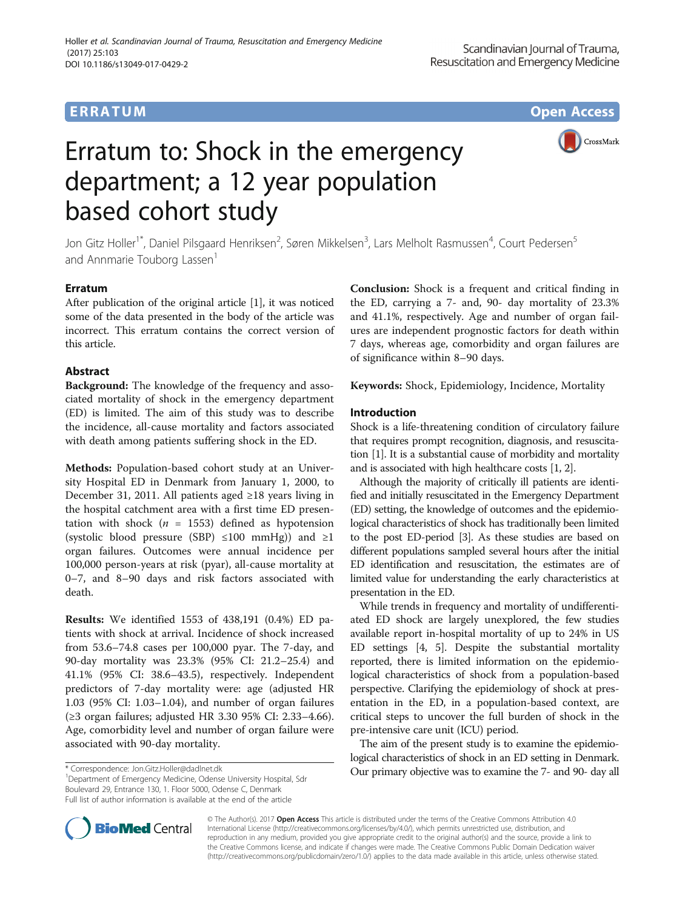# Erratum to: Shock in the emergency department; a 12 year population based cohort study

CrossMark

Jon Gitz Holler<sup>1\*</sup>, Daniel Pilsgaard Henriksen<sup>2</sup>, Søren Mikkelsen<sup>3</sup>, Lars Melholt Rasmussen<sup>4</sup>, Court Pedersen<sup>5</sup> and Annmarie Touborg Lassen<sup>1</sup>

# Erratum

After publication of the original article [\[1](#page-11-0)], it was noticed some of the data presented in the body of the article was incorrect. This erratum contains the correct version of this article.

# Abstract

Background: The knowledge of the frequency and associated mortality of shock in the emergency department (ED) is limited. The aim of this study was to describe the incidence, all-cause mortality and factors associated with death among patients suffering shock in the ED.

Methods: Population-based cohort study at an University Hospital ED in Denmark from January 1, 2000, to December 31, 2011. All patients aged ≥18 years living in the hospital catchment area with a first time ED presentation with shock ( $n = 1553$ ) defined as hypotension (systolic blood pressure (SBP)  $\leq 100$  mmHg)) and  $\geq 1$ organ failures. Outcomes were annual incidence per 100,000 person-years at risk (pyar), all-cause mortality at 0–7, and 8–90 days and risk factors associated with death.

Results: We identified 1553 of 438,191 (0.4%) ED patients with shock at arrival. Incidence of shock increased from 53.6–74.8 cases per 100,000 pyar. The 7-day, and 90-day mortality was 23.3% (95% CI: 21.2–25.4) and 41.1% (95% CI: 38.6–43.5), respectively. Independent predictors of 7-day mortality were: age (adjusted HR 1.03 (95% CI: 1.03–1.04), and number of organ failures (≥3 organ failures; adjusted HR 3.30 95% CI: 2.33–4.66). Age, comorbidity level and number of organ failure were associated with 90-day mortality.

<sup>1</sup>Department of Emergency Medicine, Odense University Hospital, Sdr Boulevard 29, Entrance 130, 1. Floor 5000, Odense C, Denmark Full list of author information is available at the end of the article

Conclusion: Shock is a frequent and critical finding in the ED, carrying a 7- and, 90- day mortality of 23.3% and 41.1%, respectively. Age and number of organ failures are independent prognostic factors for death within 7 days, whereas age, comorbidity and organ failures are of significance within 8–90 days.

Keywords: Shock, Epidemiology, Incidence, Mortality

# Introduction

Shock is a life-threatening condition of circulatory failure that requires prompt recognition, diagnosis, and resuscitation [1]. It is a substantial cause of morbidity and mortality and is associated with high healthcare costs [1, 2].

Although the majority of critically ill patients are identified and initially resuscitated in the Emergency Department (ED) setting, the knowledge of outcomes and the epidemiological characteristics of shock has traditionally been limited to the post ED-period [3]. As these studies are based on different populations sampled several hours after the initial ED identification and resuscitation, the estimates are of limited value for understanding the early characteristics at presentation in the ED.

While trends in frequency and mortality of undifferentiated ED shock are largely unexplored, the few studies available report in-hospital mortality of up to 24% in US ED settings [4, 5]. Despite the substantial mortality reported, there is limited information on the epidemiological characteristics of shock from a population-based perspective. Clarifying the epidemiology of shock at presentation in the ED, in a population-based context, are critical steps to uncover the full burden of shock in the pre-intensive care unit (ICU) period.

The aim of the present study is to examine the epidemiological characteristics of shock in an ED setting in Denmark. \* Correspondence: [Jon.Gitz.Holler@dadlnet.dk](mailto:Jon.Gitz.Holler@dadlnet.dk) **Our primary objective was to examine the 7- and 90- day all** 



© The Author(s). 2017 **Open Access** This article is distributed under the terms of the Creative Commons Attribution 4.0 International License [\(http://creativecommons.org/licenses/by/4.0/](http://creativecommons.org/licenses/by/4.0/)), which permits unrestricted use, distribution, and reproduction in any medium, provided you give appropriate credit to the original author(s) and the source, provide a link to the Creative Commons license, and indicate if changes were made. The Creative Commons Public Domain Dedication waiver [\(http://creativecommons.org/publicdomain/zero/1.0/](http://creativecommons.org/publicdomain/zero/1.0/)) applies to the data made available in this article, unless otherwise stated.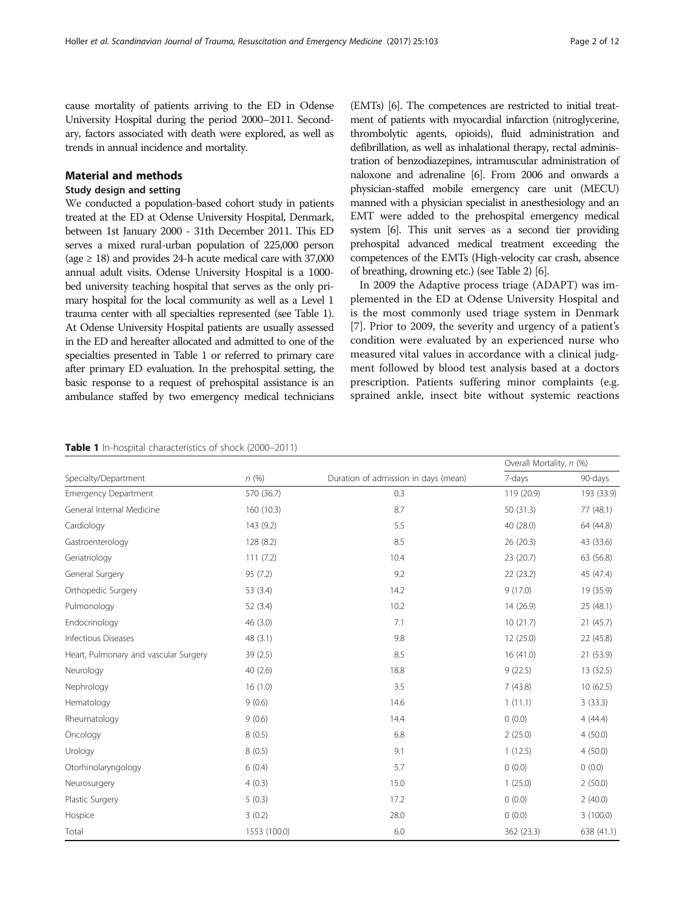<span id="page-1-0"></span>cause mortality of patients arriving to the ED in Odense University Hospital during the period 2000–2011. Secondary, factors associated with death were explored, as well as trends in annual incidence and mortality.

## Material and methods

# Study design and setting

We conducted a population-based cohort study in patients treated at the ED at Odense University Hospital, Denmark, between 1st January 2000 - 31th December 2011. This ED serves a mixed rural-urban population of 225,000 person (age  $\geq$  18) and provides 24-h acute medical care with 37,000 annual adult visits. Odense University Hospital is a 1000 bed university teaching hospital that serves as the only primary hospital for the local community as well as a Level 1 trauma center with all specialties represented (see Table 1). At Odense University Hospital patients are usually assessed in the ED and hereafter allocated and admitted to one of the specialties presented in Table 1 or referred to primary care after primary ED evaluation. In the prehospital setting, the basic response to a request of prehospital assistance is an ambulance staffed by two emergency medical technicians (EMTs) [6]. The competences are restricted to initial treatment of patients with myocardial infarction (nitroglycerine, thrombolytic agents, opioids), fluid administration and defibrillation, as well as inhalational therapy, rectal administration of benzodiazepines, intramuscular administration of naloxone and adrenaline [6]. From 2006 and onwards a physician-staffed mobile emergency care unit (MECU) manned with a physician specialist in anesthesiology and an EMT were added to the prehospital emergency medical system [6]. This unit serves as a second tier providing prehospital advanced medical treatment exceeding the competences of the EMTs (High-velocity car crash, absence of breathing, drowning etc.) (see Table [2\)](#page-2-0) [6].

In 2009 the Adaptive process triage (ADAPT) was implemented in the ED at Odense University Hospital and is the most commonly used triage system in Denmark [7]. Prior to 2009, the severity and urgency of a patient's condition were evaluated by an experienced nurse who measured vital values in accordance with a clinical judgment followed by blood test analysis based at a doctors prescription. Patients suffering minor complaints (e.g. sprained ankle, insect bite without systemic reactions

#### Table 1 In-hospital characteristics of shock (2000–2011)

|                                       |              |                                      | Overall Mortality, n (%) |            |
|---------------------------------------|--------------|--------------------------------------|--------------------------|------------|
| Specialty/Department                  | n(%)         | Duration of admission in days (mean) | 7-days                   | 90-days    |
| <b>Emergency Department</b>           | 570 (36.7)   | 0.3                                  | 119 (20.9)               | 193 (33.9) |
| General Internal Medicine             | 160 (10.3)   | 8.7                                  | 50 (31.3)                | 77 (48.1)  |
| Cardiology                            | 143 (9.2)    | 5.5                                  | 40 (28.0)                | 64 (44.8)  |
| Gastroenterology                      | 128 (8.2)    | 8.5                                  | 26 (20.3)                | 43 (33.6)  |
| Geriatriology                         | 111(7.2)     | 10.4                                 | 23 (20.7)                | 63 (56.8)  |
| General Surgery                       | 95 (7.2)     | 9.2                                  | 22 (23.2)                | 45 (47.4)  |
| Orthopedic Surgery                    | 53 (3.4)     | 14.2                                 | 9(17.0)                  | 19 (35.9)  |
| Pulmonology                           | 52 (3.4)     | 10.2                                 | 14 (26.9)                | 25 (48.1)  |
| Endocrinology                         | 46 (3.0)     | 7.1                                  | 10(21.7)                 | 21(45.7)   |
| Infectious Diseases                   | 48 (3.1)     | 9.8                                  | 12 (25.0)                | 22 (45.8)  |
| Heart, Pulmonary and vascular Surgery | 39 (2.5)     | 8.5                                  | 16(41.0)                 | 21 (53.9)  |
| Neurology                             | 40(2.6)      | 18.8                                 | 9(22.5)                  | 13 (32.5)  |
| Nephrology                            | 16(1.0)      | 3.5                                  | 7(43.8)                  | 10(62.5)   |
| Hematology                            | 9(0.6)       | 14.6                                 | 1(11.1)                  | 3(33.3)    |
| Rheumatology                          | 9(0.6)       | 14.4                                 | 0(0.0)                   | 4(44.4)    |
| Oncology                              | 8(0.5)       | 6.8                                  | 2(25.0)                  | 4(50.0)    |
| Urology                               | 8(0.5)       | 9.1                                  | 1(12.5)                  | 4(50.0)    |
| Otorhinolaryngology                   | 6(0.4)       | 5.7                                  | 0(0.0)                   | 0(0.0)     |
| Neurosurgery                          | 4(0.3)       | 15.0                                 | 1(25.0)                  | 2(50.0)    |
| Plastic Surgery                       | 5(0.3)       | 17.2                                 | 0(0.0)                   | 2(40.0)    |
| Hospice                               | 3(0.2)       | 28.0                                 | 0(0.0)                   | 3(100.0)   |
| Total                                 | 1553 (100.0) | 6.0                                  | 362 (23.3)               | 638 (41.1) |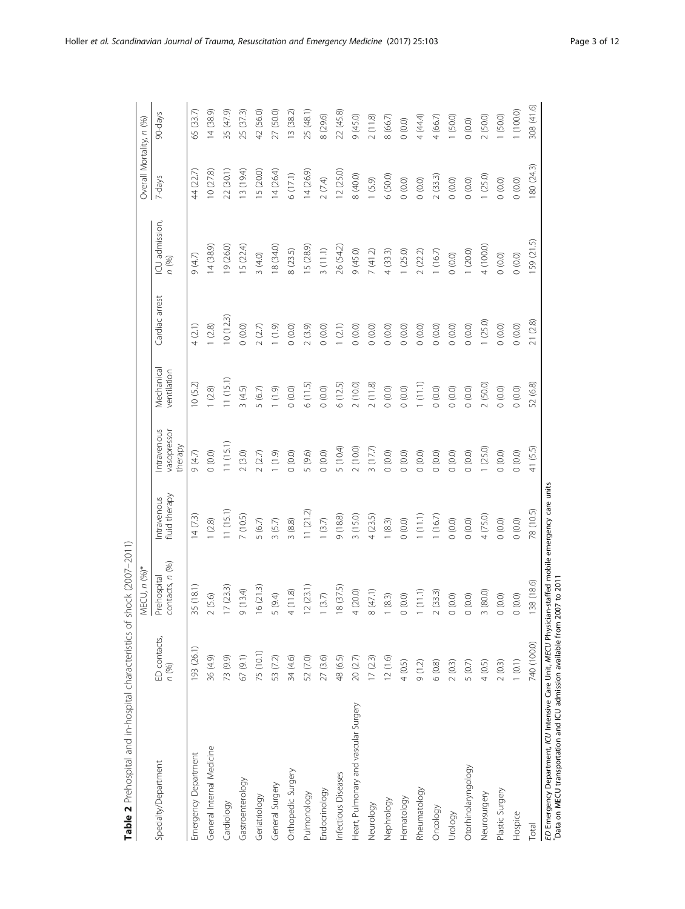<span id="page-2-0"></span>

|                                                                                                                                                                                   |                       | 4ECU, n (%)*                   |                              |                                       |                           |                    |                         | Overall Mortality, n (%) |             |
|-----------------------------------------------------------------------------------------------------------------------------------------------------------------------------------|-----------------------|--------------------------------|------------------------------|---------------------------------------|---------------------------|--------------------|-------------------------|--------------------------|-------------|
| Specialty/Department                                                                                                                                                              | ED contacts,<br>n (%) | contacts, n (%)<br>Prehospital | fluid therapy<br>Intravenous | Intravenous<br>vasopressor<br>therapy | Mechanical<br>ventilation | Cardiac arrest     | ICU admission,<br>n (%) | 7-days                   | 90-days     |
| Emergency Department                                                                                                                                                              | 193 (26.1)            | 35 (18.1)                      | 14(7.3)                      | 9(4.7)                                | 10(5.2)                   | (2.1)              | 9 (4.7)                 | 44 (22.7)                | 65 (33.7)   |
| General Internal Medicine                                                                                                                                                         | 36 (4.9)              | (5.6)                          | (2.8)                        | (0.0)                                 | (2.8)                     | $(2.8)$            | 14 (38.9)               | 10(27.8)                 | 14(38.9)    |
| Cardiology                                                                                                                                                                        | 73 (9.9)              | 17(23.3)                       | 11(15.1)                     | 11(15.1)                              | 11 (15.1)                 | 10(12.3)           | 19 (26.0)               | 22 (30.1)                | 35 (47.9)   |
| Gastroenterology                                                                                                                                                                  | 67(9.1)               | (13.4)                         | 7 (10.5)                     | 2(3.0)                                | (4.5)                     | (0.0)              | 15(22.4)                | 13 (19.4)                | 25 (37.3)   |
| Geriatriology                                                                                                                                                                     | 75 (10.1)             | 16(213)                        | 5(6.7)                       | 2(2.7)                                | (6.7)<br>ഗ                | (2.7)              | 3(4.0)                  | 15 (20.0)                | 42 (56.0)   |
| General Surgery                                                                                                                                                                   | 53 (7.2)              | (9.4)                          | (5.7)<br>$\infty$            | (1.9)                                 | (1.9)                     | $(0.9)$            | 18 (34.0)               | 14(26.4)                 | 27 (50.0)   |
| Orthopedic Surgery                                                                                                                                                                | 34 (4.6)              | (11.8)                         | 3(8.8)                       | 0(0.0)                                | $(0.0)$<br>$\circ$        | $(0.0)$<br>$\circ$ | 8(23.5)                 | 6(17.1)                  | (38.2)      |
| Pulmonology                                                                                                                                                                       | 52 (7.0)              | (2 3.1)                        | 11(21.2)                     | 5 (9.6)                               | 6(11.5)                   | (3.9)<br>$\sim$    | 15 (28.9)               | 14 (26.9)                | 25 (48.1)   |
| Endocrinology                                                                                                                                                                     | 27 (3.6)              | (3.7)                          | 1(3.7)                       | 0(0.0)                                | (0.0)                     | (0.0)<br>$\circ$   | 3(11.1)                 | 2(7.4)                   | 8 (29.6)    |
| Infectious Diseases                                                                                                                                                               | 48 (6.5)              | 18 (37.5)                      | 9(18.8)                      | 5 (10.4)                              | 6 (12.5)                  | (2.1)              | 26 (54.2)               | 12 (25.0)                | 22 (45.8)   |
| Heart, Pulmonary and vascular Surgery                                                                                                                                             | 20 (2.7)              | (20.0)                         | (15.0)<br>$\infty$           | 2(10.0)                               | (10.0)                    | (0.0)<br>$\circ$   | 9(45.0)                 | 8 (40.0)                 | (0.50)      |
| Neurology                                                                                                                                                                         | 17(2.3)               | (47.1)                         | 4(23.5)                      | 3(17.7)                               | 2(118)                    | $(0.0)$<br>$\circ$ | 7(41.2)                 | (5.9)                    | 2(11.8)     |
| Nephrology                                                                                                                                                                        | 12(1.6)               | (8.3)                          | 1(8.3)                       | (0.0)                                 | (0.0)                     | $(0.0)$<br>$\circ$ | 4(33.3)                 | 6 (50.0)                 | 8 (66.7)    |
| Hematology                                                                                                                                                                        | 4(0.5)                | (0.0)                          | (0.0)                        | (0.0) 0                               | (0.0)<br>$\circ$          | (0.0)<br>$\circ$   | (25.0)                  | (0.0)                    | (0.0)       |
| Rheumatology                                                                                                                                                                      | 9(1.2)                | (11.1)                         | (11.1)                       | 0(0.0)                                | (1.1)                     | (0.0)<br>$\circ$   | (22.2)                  | (0.0)<br>$\circ$         | 4 (44.4)    |
| Oncology                                                                                                                                                                          | 6(0.8)                | (33.3)                         | (16.7)                       | (0.0)                                 | $(0.0)$<br>$\circ$        | (0.0)<br>$\circ$   | (16.7)                  | (33.3)                   | (66.7)<br>4 |
| Vrology                                                                                                                                                                           | 2(0.3)                | (0.0)                          | (0.0)                        | 0(0.0)                                | $(0.0)$<br>$\circ$        | $(0.0)$<br>$\circ$ | (0.0)                   | (0.0)                    | (50.0)      |
| Otorhinolaryngology                                                                                                                                                               | 5 (0.7)               | (0.0)                          | (0.0)                        | (0.0)                                 | (0.0)                     | $\odot$<br>$\circ$ | 1(20.0)                 | (0.0)<br>$\circ$         | (0.0)       |
| Neurosurgery                                                                                                                                                                      | 4(0.5)                | (80.0)                         | 4 (75.0)                     | 1(25.0)                               | (50.0)                    | 1(25.0)            | 4 (100.0)               | 1(25.0)                  | 2(50.0)     |
| Plastic Surgery                                                                                                                                                                   | 2(0.3)                | (0.0)                          | (0.0)                        | (0.0)                                 | (0.0)                     | (0.0)              | (0.0)                   | (0.0)                    | (50.0)      |
| Hospice                                                                                                                                                                           | 1(0.1)                | (0.0)                          | (0.0)                        | (0.0)                                 | (0.0)                     | (0.0)              | (0.0)                   | (0.0)                    | (100.0)     |
| Total                                                                                                                                                                             | 740 (100.0)           | 38 (18.6)                      | 78 (10.5)                    | 41 (5.5)                              | 52 (6.8)                  | 21 (2.8)           | 59 (21.5)               | 180 (24.3)               | 308 (41.6)  |
| ED Emergency Department, ICU Intensive Care Unit, MECU Physician-staffed mobile emergency care units<br>Data on MECU transportation and ICU admission available from 2007 to 2011 |                       |                                |                              |                                       |                           |                    |                         |                          |             |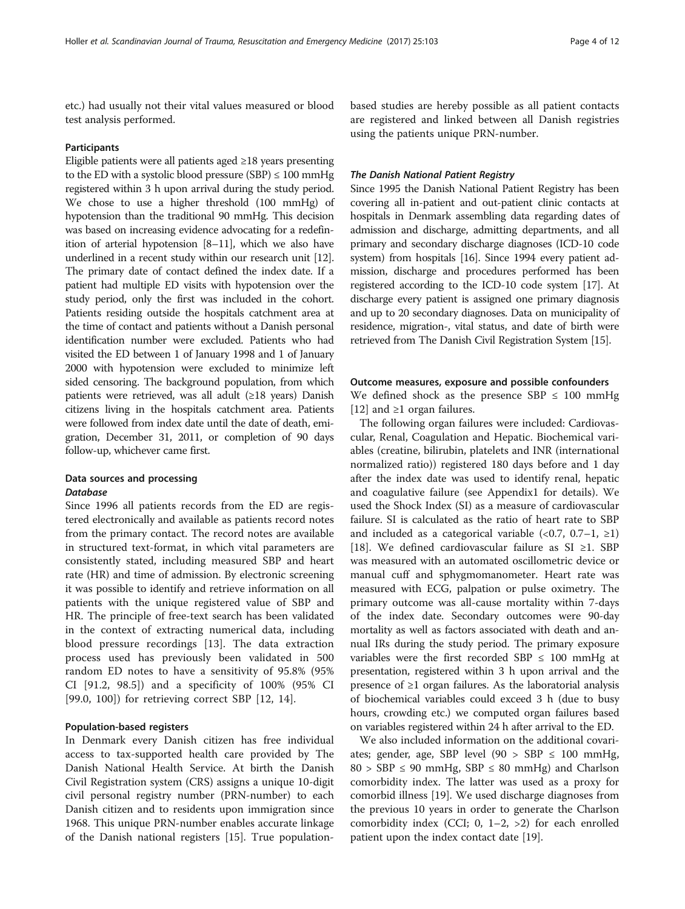etc.) had usually not their vital values measured or blood test analysis performed.

#### Participants

Eligible patients were all patients aged ≥18 years presenting to the ED with a systolic blood pressure (SBP)  $\leq 100$  mmHg registered within 3 h upon arrival during the study period. We chose to use a higher threshold (100 mmHg) of hypotension than the traditional 90 mmHg. This decision was based on increasing evidence advocating for a redefinition of arterial hypotension [8–11], which we also have underlined in a recent study within our research unit [12]. The primary date of contact defined the index date. If a patient had multiple ED visits with hypotension over the study period, only the first was included in the cohort. Patients residing outside the hospitals catchment area at the time of contact and patients without a Danish personal identification number were excluded. Patients who had visited the ED between 1 of January 1998 and 1 of January 2000 with hypotension were excluded to minimize left sided censoring. The background population, from which patients were retrieved, was all adult (≥18 years) Danish citizens living in the hospitals catchment area. Patients were followed from index date until the date of death, emigration, December 31, 2011, or completion of 90 days follow-up, whichever came first.

# Data sources and processing **Database**

Since 1996 all patients records from the ED are registered electronically and available as patients record notes from the primary contact. The record notes are available in structured text-format, in which vital parameters are consistently stated, including measured SBP and heart rate (HR) and time of admission. By electronic screening it was possible to identify and retrieve information on all patients with the unique registered value of SBP and HR. The principle of free-text search has been validated in the context of extracting numerical data, including blood pressure recordings [13]. The data extraction process used has previously been validated in 500 random ED notes to have a sensitivity of 95.8% (95% CI [91.2, 98.5]) and a specificity of 100% (95% CI [99.0, 100]) for retrieving correct SBP [12, 14].

# Population-based registers

In Denmark every Danish citizen has free individual access to tax-supported health care provided by The Danish National Health Service. At birth the Danish Civil Registration system (CRS) assigns a unique 10-digit civil personal registry number (PRN-number) to each Danish citizen and to residents upon immigration since 1968. This unique PRN-number enables accurate linkage of the Danish national registers [15]. True population-

based studies are hereby possible as all patient contacts are registered and linked between all Danish registries using the patients unique PRN-number.

## The Danish National Patient Registry

Since 1995 the Danish National Patient Registry has been covering all in-patient and out-patient clinic contacts at hospitals in Denmark assembling data regarding dates of admission and discharge, admitting departments, and all primary and secondary discharge diagnoses (ICD-10 code system) from hospitals [16]. Since 1994 every patient admission, discharge and procedures performed has been registered according to the ICD-10 code system [17]. At discharge every patient is assigned one primary diagnosis and up to 20 secondary diagnoses. Data on municipality of residence, migration-, vital status, and date of birth were retrieved from The Danish Civil Registration System [15].

### Outcome measures, exposure and possible confounders

We defined shock as the presence SBP  $\leq$  100 mmHg [12] and ≥1 organ failures.

The following organ failures were included: Cardiovascular, Renal, Coagulation and Hepatic. Biochemical variables (creatine, bilirubin, platelets and INR (international normalized ratio)) registered 180 days before and 1 day after the index date was used to identify renal, hepatic and coagulative failure (see [Appendix1](#page-10-0) for details). We used the Shock Index (SI) as a measure of cardiovascular failure. SI is calculated as the ratio of heart rate to SBP and included as a categorical variable  $(\langle 0.7, 0.7-1, \rangle)$ [18]. We defined cardiovascular failure as SI ≥1. SBP was measured with an automated oscillometric device or manual cuff and sphygmomanometer. Heart rate was measured with ECG, palpation or pulse oximetry. The primary outcome was all-cause mortality within 7-days of the index date. Secondary outcomes were 90-day mortality as well as factors associated with death and annual IRs during the study period. The primary exposure variables were the first recorded SBP  $\leq$  100 mmHg at presentation, registered within 3 h upon arrival and the presence of ≥1 organ failures. As the laboratorial analysis of biochemical variables could exceed 3 h (due to busy hours, crowding etc.) we computed organ failures based on variables registered within 24 h after arrival to the ED.

We also included information on the additional covariates; gender, age, SBP level  $(90 > SBP \le 100 \text{ mmHg}$ ,  $80 > SBP \leq 90$  mmHg,  $SBP \leq 80$  mmHg) and Charlson comorbidity index. The latter was used as a proxy for comorbid illness [19]. We used discharge diagnoses from the previous 10 years in order to generate the Charlson comorbidity index (CCI; 0,  $1-2$ ,  $>2$ ) for each enrolled patient upon the index contact date [19].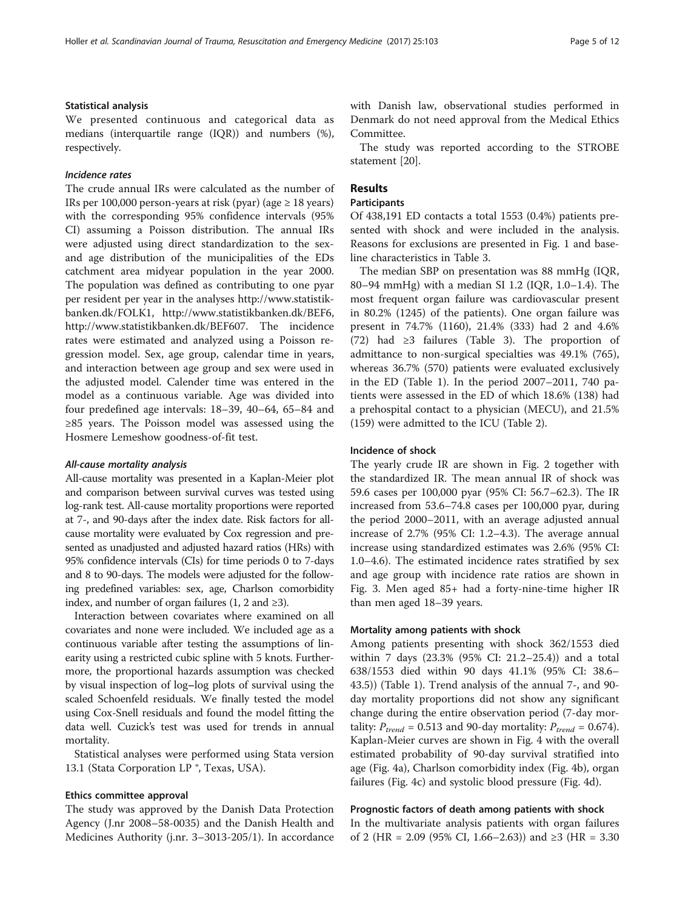# Statistical analysis

We presented continuous and categorical data as medians (interquartile range (IQR)) and numbers (%), respectively.

## Incidence rates

The crude annual IRs were calculated as the number of IRs per 100,000 person-years at risk (pyar) (age  $\geq 18$  years) with the corresponding 95% confidence intervals (95% CI) assuming a Poisson distribution. The annual IRs were adjusted using direct standardization to the sexand age distribution of the municipalities of the EDs catchment area midyear population in the year 2000. The population was defined as contributing to one pyar per resident per year in the analyses [http://www.statistik](http://www.statistikbanken.dk/FOLK1)[banken.dk/FOLK1,](http://www.statistikbanken.dk/FOLK1)<http://www.statistikbanken.dk/BEF6>, [http://www.statistikbanken.dk/BEF607.](http://www.statistikbanken.dk/BEF607) The incidence rates were estimated and analyzed using a Poisson regression model. Sex, age group, calendar time in years, and interaction between age group and sex were used in the adjusted model. Calender time was entered in the model as a continuous variable. Age was divided into four predefined age intervals: 18–39, 40–64, 65–84 and ≥85 years. The Poisson model was assessed using the Hosmere Lemeshow goodness-of-fit test.

## All-cause mortality analysis

All-cause mortality was presented in a Kaplan-Meier plot and comparison between survival curves was tested using log-rank test. All-cause mortality proportions were reported at 7-, and 90-days after the index date. Risk factors for allcause mortality were evaluated by Cox regression and presented as unadjusted and adjusted hazard ratios (HRs) with 95% confidence intervals (CIs) for time periods 0 to 7-days and 8 to 90-days. The models were adjusted for the following predefined variables: sex, age, Charlson comorbidity index, and number of organ failures (1, 2 and  $\geq 3$ ).

Interaction between covariates where examined on all covariates and none were included. We included age as a continuous variable after testing the assumptions of linearity using a restricted cubic spline with 5 knots. Furthermore, the proportional hazards assumption was checked by visual inspection of log–log plots of survival using the scaled Schoenfeld residuals. We finally tested the model using Cox-Snell residuals and found the model fitting the data well. Cuzick's test was used for trends in annual mortality.

Statistical analyses were performed using Stata version 13.1 (Stata Corporation LP ®, Texas, USA).

### Ethics committee approval

The study was approved by the Danish Data Protection Agency (J.nr 2008–58-0035) and the Danish Health and Medicines Authority (j.nr. 3–3013-205/1). In accordance with Danish law, observational studies performed in Denmark do not need approval from the Medical Ethics Committee.

The study was reported according to the STROBE statement [20].

# Results

## **Participants**

Of 438,191 ED contacts a total 1553 (0.4%) patients presented with shock and were included in the analysis. Reasons for exclusions are presented in Fig. [1](#page-5-0) and baseline characteristics in Table [3.](#page-6-0)

The median SBP on presentation was 88 mmHg (IQR, 80–94 mmHg) with a median SI 1.2 (IQR, 1.0–1.4). The most frequent organ failure was cardiovascular present in 80.2% (1245) of the patients). One organ failure was present in 74.7% (1160), 21.4% (333) had 2 and 4.6% (72) had ≥3 failures (Table [3\)](#page-6-0). The proportion of admittance to non-surgical specialties was 49.1% (765), whereas 36.7% (570) patients were evaluated exclusively in the ED (Table [1](#page-1-0)). In the period 2007–2011, 740 patients were assessed in the ED of which 18.6% (138) had a prehospital contact to a physician (MECU), and 21.5% (159) were admitted to the ICU (Table [2\)](#page-2-0).

#### Incidence of shock

The yearly crude IR are shown in Fig. [2](#page-7-0) together with the standardized IR. The mean annual IR of shock was 59.6 cases per 100,000 pyar (95% CI: 56.7–62.3). The IR increased from 53.6–74.8 cases per 100,000 pyar, during the period 2000–2011, with an average adjusted annual increase of 2.7% (95% CI: 1.2–4.3). The average annual increase using standardized estimates was 2.6% (95% CI: 1.0–4.6). The estimated incidence rates stratified by sex and age group with incidence rate ratios are shown in Fig. [3.](#page-7-0) Men aged 85+ had a forty-nine-time higher IR than men aged 18–39 years.

## Mortality among patients with shock

Among patients presenting with shock 362/1553 died within 7 days (23.3% (95% CI: 21.2–25.4)) and a total 638/1553 died within 90 days 41.1% (95% CI: 38.6– 43.5)) (Table [1](#page-1-0)). Trend analysis of the annual 7-, and 90 day mortality proportions did not show any significant change during the entire observation period (7-day mortality:  $P_{trend}$  = 0.513 and 90-day mortality:  $P_{trend}$  = 0.674). Kaplan-Meier curves are shown in Fig. [4](#page-8-0) with the overall estimated probability of 90-day survival stratified into age (Fig. [4a\)](#page-8-0), Charlson comorbidity index (Fig. [4b](#page-8-0)), organ failures (Fig. [4c](#page-8-0)) and systolic blood pressure (Fig. [4d\)](#page-8-0).

#### Prognostic factors of death among patients with shock

In the multivariate analysis patients with organ failures of 2 (HR = 2.09 (95% CI, 1.66–2.63)) and ≥3 (HR = 3.30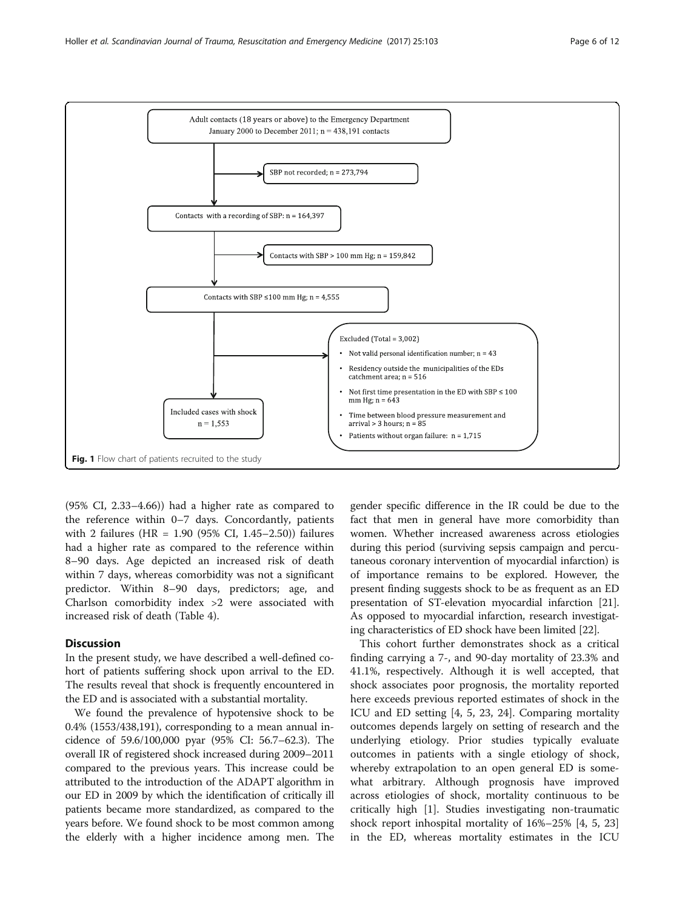<span id="page-5-0"></span>

(95% CI, 2.33–4.66)) had a higher rate as compared to the reference within 0–7 days. Concordantly, patients with 2 failures (HR = 1.90 (95% CI, 1.45–2.50)) failures had a higher rate as compared to the reference within 8–90 days. Age depicted an increased risk of death within 7 days, whereas comorbidity was not a significant predictor. Within 8–90 days, predictors; age, and Charlson comorbidity index >2 were associated with increased risk of death (Table [4](#page-9-0)).

# **Discussion**

In the present study, we have described a well-defined cohort of patients suffering shock upon arrival to the ED. The results reveal that shock is frequently encountered in the ED and is associated with a substantial mortality.

We found the prevalence of hypotensive shock to be 0.4% (1553/438,191), corresponding to a mean annual incidence of 59.6/100,000 pyar (95% CI: 56.7–62.3). The overall IR of registered shock increased during 2009–2011 compared to the previous years. This increase could be attributed to the introduction of the ADAPT algorithm in our ED in 2009 by which the identification of critically ill patients became more standardized, as compared to the years before. We found shock to be most common among the elderly with a higher incidence among men. The gender specific difference in the IR could be due to the fact that men in general have more comorbidity than women. Whether increased awareness across etiologies during this period (surviving sepsis campaign and percutaneous coronary intervention of myocardial infarction) is of importance remains to be explored. However, the present finding suggests shock to be as frequent as an ED presentation of ST-elevation myocardial infarction [21]. As opposed to myocardial infarction, research investigating characteristics of ED shock have been limited [22].

This cohort further demonstrates shock as a critical finding carrying a 7-, and 90-day mortality of 23.3% and 41.1%, respectively. Although it is well accepted, that shock associates poor prognosis, the mortality reported here exceeds previous reported estimates of shock in the ICU and ED setting [4, 5, 23, 24]. Comparing mortality outcomes depends largely on setting of research and the underlying etiology. Prior studies typically evaluate outcomes in patients with a single etiology of shock, whereby extrapolation to an open general ED is somewhat arbitrary. Although prognosis have improved across etiologies of shock, mortality continuous to be critically high [1]. Studies investigating non-traumatic shock report inhospital mortality of 16%–25% [4, 5, 23] in the ED, whereas mortality estimates in the ICU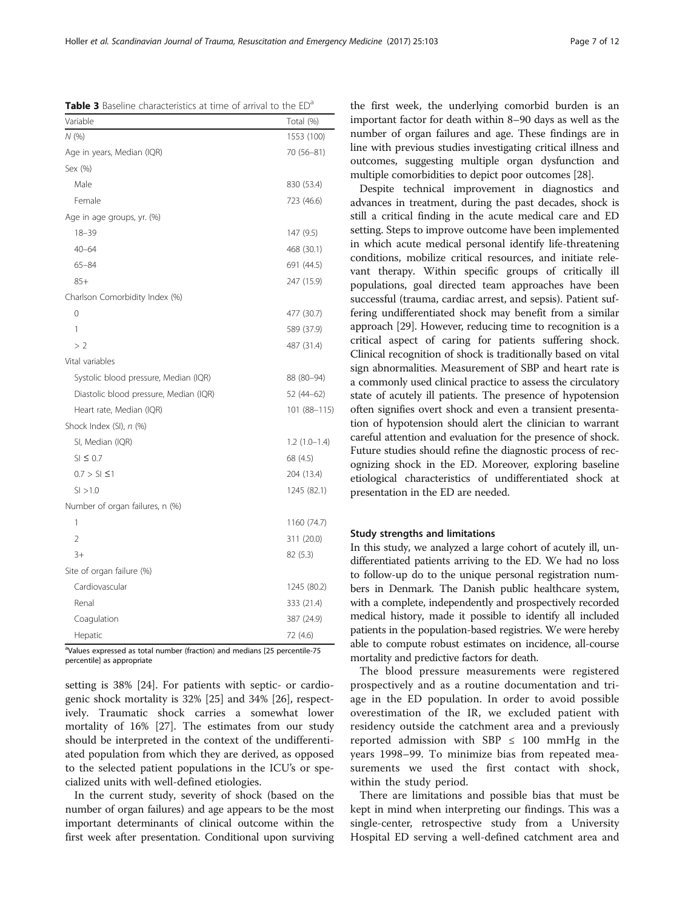Values expressed as total number (fraction) and medians [25 percentile-75 percentile] as appropriate

setting is 38% [24]. For patients with septic- or cardiogenic shock mortality is 32% [25] and 34% [26], respectively. Traumatic shock carries a somewhat lower mortality of 16% [27]. The estimates from our study should be interpreted in the context of the undifferentiated population from which they are derived, as opposed to the selected patient populations in the ICU's or specialized units with well-defined etiologies.

In the current study, severity of shock (based on the number of organ failures) and age appears to be the most important determinants of clinical outcome within the first week after presentation. Conditional upon surviving

the first week, the underlying comorbid burden is an important factor for death within 8–90 days as well as the number of organ failures and age. These findings are in line with previous studies investigating critical illness and outcomes, suggesting multiple organ dysfunction and multiple comorbidities to depict poor outcomes [28].

Despite technical improvement in diagnostics and advances in treatment, during the past decades, shock is still a critical finding in the acute medical care and ED setting. Steps to improve outcome have been implemented in which acute medical personal identify life-threatening conditions, mobilize critical resources, and initiate relevant therapy. Within specific groups of critically ill populations, goal directed team approaches have been successful (trauma, cardiac arrest, and sepsis). Patient suffering undifferentiated shock may benefit from a similar approach [29]. However, reducing time to recognition is a critical aspect of caring for patients suffering shock. Clinical recognition of shock is traditionally based on vital sign abnormalities. Measurement of SBP and heart rate is a commonly used clinical practice to assess the circulatory state of acutely ill patients. The presence of hypotension often signifies overt shock and even a transient presentation of hypotension should alert the clinician to warrant careful attention and evaluation for the presence of shock. Future studies should refine the diagnostic process of recognizing shock in the ED. Moreover, exploring baseline etiological characteristics of undifferentiated shock at presentation in the ED are needed.

# Study strengths and limitations

In this study, we analyzed a large cohort of acutely ill, undifferentiated patients arriving to the ED. We had no loss to follow-up do to the unique personal registration numbers in Denmark. The Danish public healthcare system, with a complete, independently and prospectively recorded medical history, made it possible to identify all included patients in the population-based registries. We were hereby able to compute robust estimates on incidence, all-course mortality and predictive factors for death.

The blood pressure measurements were registered prospectively and as a routine documentation and triage in the ED population. In order to avoid possible overestimation of the IR, we excluded patient with residency outside the catchment area and a previously reported admission with SBP  $\leq$  100 mmHg in the years 1998–99. To minimize bias from repeated measurements we used the first contact with shock, within the study period.

There are limitations and possible bias that must be kept in mind when interpreting our findings. This was a single-center, retrospective study from a University Hospital ED serving a well-defined catchment area and

<span id="page-6-0"></span>Table 3 Baseline characteristics at time of arrival to the ED<sup>a</sup>

| Variable                               | Total (%)      |
|----------------------------------------|----------------|
| N(%)                                   | 1553 (100)     |
| Age in years, Median (IQR)             | 70 (56-81)     |
| Sex (%)                                |                |
| Male                                   | 830 (53.4)     |
| Female                                 | 723 (46.6)     |
| Age in age groups, yr. (%)             |                |
| $18 - 39$                              | 147 (9.5)      |
| $40 - 64$                              | 468 (30.1)     |
| $65 - 84$                              | 691 (44.5)     |
| $85+$                                  | 247 (15.9)     |
| Charlson Comorbidity Index (%)         |                |
| $\Omega$                               | 477 (30.7)     |
| 1                                      | 589 (37.9)     |
| >2                                     | 487 (31.4)     |
| Vital variables                        |                |
| Systolic blood pressure, Median (IQR)  | 88 (80-94)     |
| Diastolic blood pressure, Median (IQR) | 52 (44-62)     |
| Heart rate, Median (IQR)               | 101 (88-115)   |
| Shock Index (SI), n (%)                |                |
| SI, Median (IQR)                       | $1.2(1.0-1.4)$ |
| $SI \leq 0.7$                          | 68 (4.5)       |
| $0.7 > S1 \le 1$                       | 204 (13.4)     |
| SI > 1.0                               | 1245 (82.1)    |
| Number of organ failures, n (%)        |                |
| 1                                      | 1160 (74.7)    |
| $\overline{2}$                         | 311 (20.0)     |
| $3+$                                   | 82 (5.3)       |
| Site of organ failure (%)              |                |
| Cardiovascular                         | 1245 (80.2)    |
| Renal                                  | 333 (21.4)     |
| Coagulation                            | 387 (24.9)     |
| Hepatic                                | 72 (4.6)       |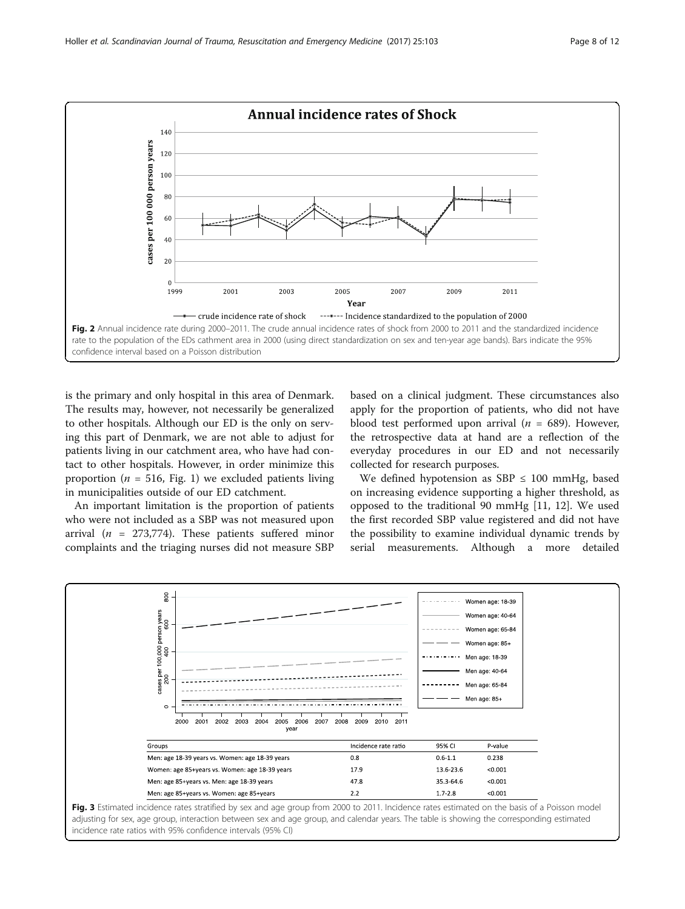<span id="page-7-0"></span>

is the primary and only hospital in this area of Denmark. The results may, however, not necessarily be generalized to other hospitals. Although our ED is the only on serving this part of Denmark, we are not able to adjust for patients living in our catchment area, who have had contact to other hospitals. However, in order minimize this proportion ( $n = 516$ , Fig. [1](#page-5-0)) we excluded patients living in municipalities outside of our ED catchment.

An important limitation is the proportion of patients who were not included as a SBP was not measured upon arrival ( $n = 273,774$ ). These patients suffered minor complaints and the triaging nurses did not measure SBP

based on a clinical judgment. These circumstances also apply for the proportion of patients, who did not have blood test performed upon arrival ( $n = 689$ ). However, the retrospective data at hand are a reflection of the everyday procedures in our ED and not necessarily collected for research purposes.

We defined hypotension as  $SBP \leq 100$  mmHg, based on increasing evidence supporting a higher threshold, as opposed to the traditional 90 mmHg [11, 12]. We used the first recorded SBP value registered and did not have the possibility to examine individual dynamic trends by serial measurements. Although a more detailed



adjusting for sex, age group, interaction between sex and age group, and calendar years. The table is showing the corresponding estimated incidence rate ratios with 95% confidence intervals (95% CI)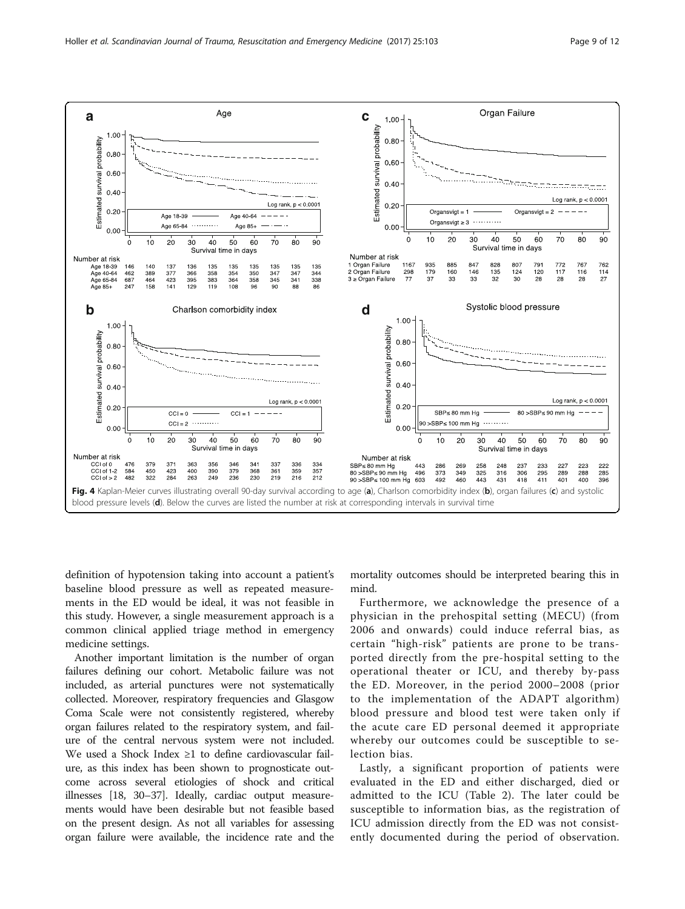<span id="page-8-0"></span>

definition of hypotension taking into account a patient's baseline blood pressure as well as repeated measurements in the ED would be ideal, it was not feasible in this study. However, a single measurement approach is a common clinical applied triage method in emergency medicine settings.

Another important limitation is the number of organ failures defining our cohort. Metabolic failure was not included, as arterial punctures were not systematically collected. Moreover, respiratory frequencies and Glasgow Coma Scale were not consistently registered, whereby organ failures related to the respiratory system, and failure of the central nervous system were not included. We used a Shock Index ≥1 to define cardiovascular failure, as this index has been shown to prognosticate outcome across several etiologies of shock and critical illnesses [18, 30–37]. Ideally, cardiac output measurements would have been desirable but not feasible based on the present design. As not all variables for assessing organ failure were available, the incidence rate and the mortality outcomes should be interpreted bearing this in mind.

Furthermore, we acknowledge the presence of a physician in the prehospital setting (MECU) (from 2006 and onwards) could induce referral bias, as certain "high-risk" patients are prone to be transported directly from the pre-hospital setting to the operational theater or ICU, and thereby by-pass the ED. Moreover, in the period 2000–2008 (prior to the implementation of the ADAPT algorithm) blood pressure and blood test were taken only if the acute care ED personal deemed it appropriate whereby our outcomes could be susceptible to selection bias.

Lastly, a significant proportion of patients were evaluated in the ED and either discharged, died or admitted to the ICU (Table [2\)](#page-2-0). The later could be susceptible to information bias, as the registration of ICU admission directly from the ED was not consistently documented during the period of observation.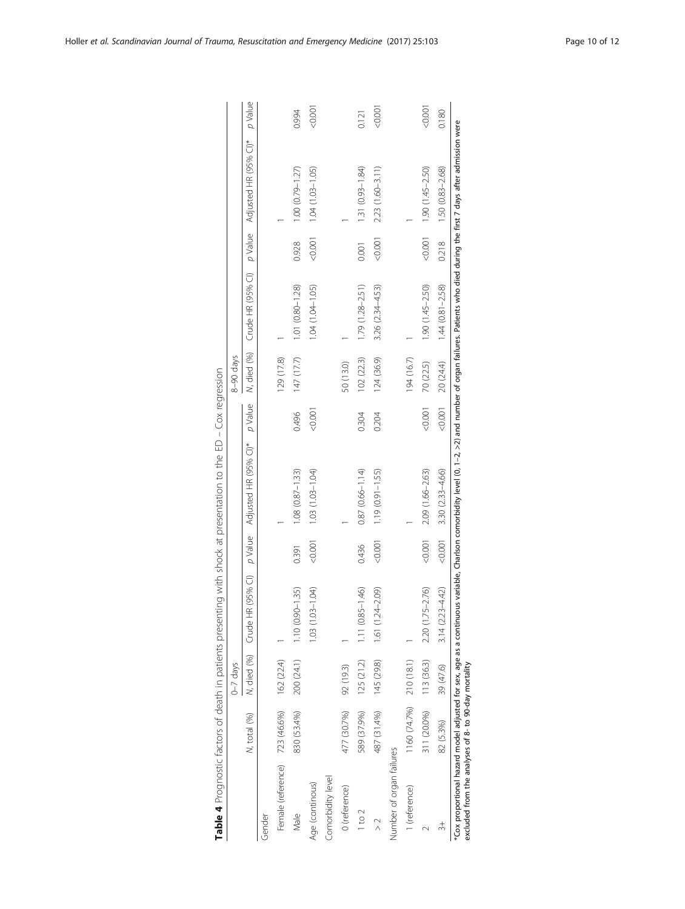<span id="page-9-0"></span>

|                                                      |                       |                          |                               |         | Table 4 Prognostic factors of death in patients presenting with shock at presentation to the ED - Cox regression                                                                                                    |         |             |                     |          |                       |         |
|------------------------------------------------------|-----------------------|--------------------------|-------------------------------|---------|---------------------------------------------------------------------------------------------------------------------------------------------------------------------------------------------------------------------|---------|-------------|---------------------|----------|-----------------------|---------|
|                                                      |                       | $0 - 7$ days             |                               |         |                                                                                                                                                                                                                     |         | 8-90 days   |                     |          |                       |         |
|                                                      | N, total (%)          |                          | N, died (%) Crude HR (95% CI) | p Value | Adjusted HR (95% CI)*                                                                                                                                                                                               | p Value | N, died (%) | Crude HR (95% CI)   | p Value  | Adjusted HR (95% CI)* | p Value |
| Gender                                               |                       |                          |                               |         |                                                                                                                                                                                                                     |         |             |                     |          |                       |         |
| Female (reference) 723 (46.6%)                       |                       | 162 (22.4)               |                               |         |                                                                                                                                                                                                                     |         | 129 (17.8)  |                     |          |                       |         |
| Male                                                 | 830 (53.4%)           | 200 (24.1)               | $1.10(0.90 - 1.35)$           | 0.391   | $1.08(0.87 - 1.33)$                                                                                                                                                                                                 | 0.496   | 147 (17.7)  | 1.01 (0.80-1.28)    | 0.928    | $1.00(0.79 - 1.27)$   | 0.994   |
| Age (continous)                                      |                       |                          | $1.03(1.03 - 1.04)$           | 0.001   | $1.03(1.03 - 1.04)$                                                                                                                                                                                                 | 10000   |             | 1.04 (1.04-1.05)    | $-0.001$ | $1.04(1.03 - 1.05)$   | 10000   |
| Comorbidity level                                    |                       |                          |                               |         |                                                                                                                                                                                                                     |         |             |                     |          |                       |         |
| 0 (reference)                                        | 477 (30.7%) 92 (19.3) |                          |                               |         |                                                                                                                                                                                                                     |         | 50 (13.0)   |                     |          |                       |         |
| $1$ to $2$                                           | 589 (37.9%)           | 125 (21.2)               | $1.11(0.85 - 1.46)$           | 0.436   | $0.87(0.66 - 1.14)$                                                                                                                                                                                                 | 0.304   | 102 (22.3)  | $1.79(1.28 - 2.51)$ | 0.001    | 1.31 (0.93-1.84)      | 0.121   |
|                                                      | 487 (31.4%)           | 145 (29.8)               | 1.61 (1.24-2.09)              | 0.001   | $1.19(0.91 - 1.55)$                                                                                                                                                                                                 | 0.204   | 124 (36.9)  | 3.26 (2.34-4.53)    | 10000    | 2.23 (1.60-3.11)      | 1000    |
| Number of organ failures                             |                       |                          |                               |         |                                                                                                                                                                                                                     |         |             |                     |          |                       |         |
| 1 (reference)                                        |                       | $1160(74.7%)$ 210 (18.1) |                               |         |                                                                                                                                                                                                                     |         | 194 (16.7)  |                     |          |                       |         |
|                                                      | 311 (20.0%)           | 113 (36.3)               | 2.20 (1.75-2.76)              | 0.001   | 2.09 (1.66-2.63)                                                                                                                                                                                                    | < 0.001 | 70 (22.5)   | $1.90(1.45 - 2.50)$ |          | $(1.45 - 2.50)$       | 1001    |
|                                                      | 82 (5.3%)             | 39 (47.6)                | $3.14(2.23 - 4.42)$           | 0.001   | $3.30(2.33 - 4.66)$                                                                                                                                                                                                 | 0.001   | 20 (24.4)   | $1.44(0.81 - 2.58)$ | 0.218    | 1.50 (0.83-2.68)      | 0.180   |
| excluded from the analyses of 8- to 90-day mortality |                       |                          |                               |         | *Cox proportional hazard model adjusted for sex, age as a continuous variable, Charlson comorbidity level (0, 1-2, >2) and number of organ failures. Patients who died during the first 7 days after admission were |         |             |                     |          |                       |         |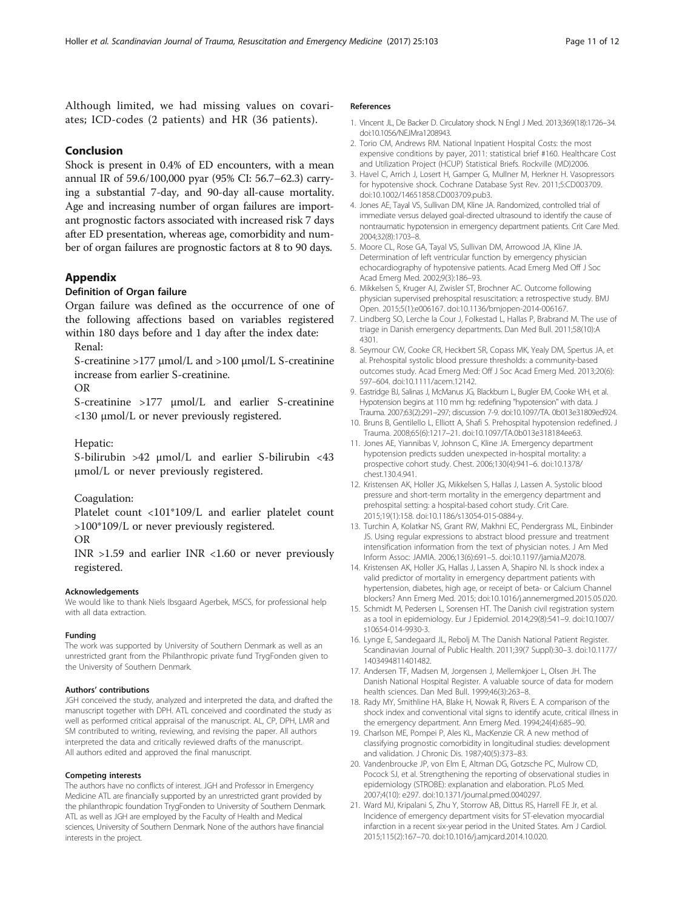<span id="page-10-0"></span>Although limited, we had missing values on covariates; ICD-codes (2 patients) and HR (36 patients).

# Conclusion

Shock is present in 0.4% of ED encounters, with a mean annual IR of 59.6/100,000 pyar (95% CI: 56.7–62.3) carrying a substantial 7-day, and 90-day all-cause mortality. Age and increasing number of organ failures are important prognostic factors associated with increased risk 7 days after ED presentation, whereas age, comorbidity and number of organ failures are prognostic factors at 8 to 90 days.

## Appendix

# Definition of Organ failure

Organ failure was defined as the occurrence of one of the following affections based on variables registered within 180 days before and 1 day after the index date:

Renal:

S-creatinine >177 μmol/L and >100 μmol/L S-creatinine increase from earlier S-creatinine.

OR

S-creatinine >177 μmol/L and earlier S-creatinine <130 μmol/L or never previously registered.

Hepatic:

S-bilirubin >42 μmol/L and earlier S-bilirubin <43 μmol/L or never previously registered.

Coagulation:

Platelet count <101\*109/L and earlier platelet count >100\*109/L or never previously registered.

OR

INR >1.59 and earlier INR <1.60 or never previously registered.

#### Acknowledgements

We would like to thank Niels Ibsgaard Agerbek, MSCS, for professional help with all data extraction.

#### Funding

The work was supported by University of Southern Denmark as well as an unrestricted grant from the Philanthropic private fund TrygFonden given to the University of Southern Denmark.

#### Authors' contributions

JGH conceived the study, analyzed and interpreted the data, and drafted the manuscript together with DPH. ATL conceived and coordinated the study as well as performed critical appraisal of the manuscript. AL, CP, DPH, LMR and SM contributed to writing, reviewing, and revising the paper. All authors interpreted the data and critically reviewed drafts of the manuscript. All authors edited and approved the final manuscript.

## Competing interests

The authors have no conflicts of interest. JGH and Professor in Emergency Medicine ATL are financially supported by an unrestricted grant provided by the philanthropic foundation TrygFonden to University of Southern Denmark. ATL as well as JGH are employed by the Faculty of Health and Medical sciences, University of Southern Denmark. None of the authors have financial interests in the project.

#### References

- 1. Vincent JL, De Backer D. Circulatory shock. N Engl J Med. 2013;369(18):1726–34. doi:10.1056/NEJMra1208943.
- 2. Torio CM, Andrews RM. National Inpatient Hospital Costs: the most expensive conditions by payer, 2011: statistical brief #160. Healthcare Cost and Utilization Project (HCUP) Statistical Briefs. Rockville (MD)2006.
- 3. Havel C, Arrich J, Losert H, Gamper G, Mullner M, Herkner H. Vasopressors for hypotensive shock. Cochrane Database Syst Rev. 2011;5:CD003709. doi:10.1002/14651858.CD003709.pub3.
- 4. Jones AE, Tayal VS, Sullivan DM, Kline JA. Randomized, controlled trial of immediate versus delayed goal-directed ultrasound to identify the cause of nontraumatic hypotension in emergency department patients. Crit Care Med. 2004;32(8):1703–8.
- 5. Moore CL, Rose GA, Tayal VS, Sullivan DM, Arrowood JA, Kline JA. Determination of left ventricular function by emergency physician echocardiography of hypotensive patients. Acad Emerg Med Off J Soc Acad Emerg Med. 2002;9(3):186–93.
- 6. Mikkelsen S, Kruger AJ, Zwisler ST, Brochner AC. Outcome following physician supervised prehospital resuscitation: a retrospective study. BMJ Open. 2015;5(1):e006167. doi:10.1136/bmjopen-2014-006167.
- 7. Lindberg SO, Lerche la Cour J, Folkestad L, Hallas P, Brabrand M. The use of triage in Danish emergency departments. Dan Med Bull. 2011;58(10):A 4301.
- 8. Seymour CW, Cooke CR, Heckbert SR, Copass MK, Yealy DM, Spertus JA, et al. Prehospital systolic blood pressure thresholds: a community-based outcomes study. Acad Emerg Med: Off J Soc Acad Emerg Med. 2013;20(6): 597–604. doi:10.1111/acem.12142.
- 9. Eastridge BJ, Salinas J, McManus JG, Blackburn L, Bugler EM, Cooke WH, et al. Hypotension begins at 110 mm hg: redefining "hypotension" with data. J Trauma. 2007;63(2):291–297; discussion 7-9. doi:10.1097/TA. 0b013e31809ed924.
- 10. Bruns B, Gentilello L, Elliott A, Shafi S. Prehospital hypotension redefined. J Trauma. 2008;65(6):1217–21. doi:10.1097/TA.0b013e318184ee63.
- 11. Jones AE, Yiannibas V, Johnson C, Kline JA. Emergency department hypotension predicts sudden unexpected in-hospital mortality: a prospective cohort study. Chest. 2006;130(4):941–6. doi:10.1378/ chest.130.4.941.
- 12. Kristensen AK, Holler JG, Mikkelsen S, Hallas J, Lassen A. Systolic blood pressure and short-term mortality in the emergency department and prehospital setting: a hospital-based cohort study. Crit Care. 2015;19(1):158. doi:10.1186/s13054-015-0884-y.
- 13. Turchin A, Kolatkar NS, Grant RW, Makhni EC, Pendergrass ML, Einbinder JS. Using regular expressions to abstract blood pressure and treatment intensification information from the text of physician notes. J Am Med Inform Assoc: JAMIA. 2006;13(6):691–5. doi:10.1197/jamia.M2078.
- 14. Kristensen AK, Holler JG, Hallas J, Lassen A, Shapiro NI. Is shock index a valid predictor of mortality in emergency department patients with hypertension, diabetes, high age, or receipt of beta- or Calcium Channel blockers? Ann Emerg Med. 2015; doi:10.1016/j.annemergmed.2015.05.020.
- 15. Schmidt M, Pedersen L, Sorensen HT. The Danish civil registration system as a tool in epidemiology. Eur J Epidemiol. 2014;29(8):541–9. doi:10.1007/ s10654-014-9930-3.
- 16. Lynge E, Sandegaard JL, Rebolj M. The Danish National Patient Register. Scandinavian Journal of Public Health. 2011;39(7 Suppl):30–3. doi:10.1177/ 1403494811401482.
- 17. Andersen TF, Madsen M, Jorgensen J, Mellemkjoer L, Olsen JH. The Danish National Hospital Register. A valuable source of data for modern health sciences. Dan Med Bull. 1999;46(3):263–8.
- 18. Rady MY, Smithline HA, Blake H, Nowak R, Rivers E. A comparison of the shock index and conventional vital signs to identify acute, critical illness in the emergency department. Ann Emerg Med. 1994;24(4):685–90.
- 19. Charlson ME, Pompei P, Ales KL, MacKenzie CR. A new method of classifying prognostic comorbidity in longitudinal studies: development and validation. J Chronic Dis. 1987;40(5):373–83.
- 20. Vandenbroucke JP, von Elm E, Altman DG, Gotzsche PC, Mulrow CD, Pocock SJ, et al. Strengthening the reporting of observational studies in epidemiology (STROBE): explanation and elaboration. PLoS Med. 2007;4(10): e297. doi:10.1371/journal.pmed.0040297.
- 21. Ward MJ, Kripalani S, Zhu Y, Storrow AB, Dittus RS, Harrell FE Jr, et al. Incidence of emergency department visits for ST-elevation myocardial infarction in a recent six-year period in the United States. Am J Cardiol. 2015;115(2):167–70. doi:10.1016/j.amjcard.2014.10.020.